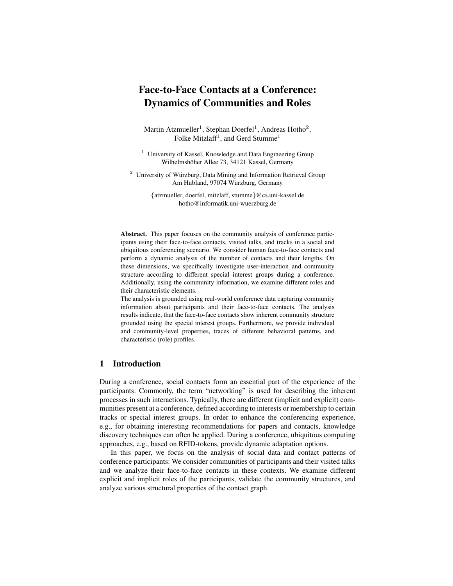# Face-to-Face Contacts at a Conference: Dynamics of Communities and Roles

Martin Atzmueller<sup>1</sup>, Stephan Doerfel<sup>1</sup>, Andreas Hotho<sup>2</sup>, Folke Mitzlaff<sup>1</sup>, and Gerd Stumme<sup>1</sup>

<sup>1</sup> University of Kassel, Knowledge and Data Engineering Group Wilhelmshöher Allee 73, 34121 Kassel, Germany

 $2$  University of Würzburg, Data Mining and Information Retrieval Group Am Hubland, 97074 Wurzburg, Germany ¨

> {atzmueller, doerfel, mitzlaff, stumme}@cs.uni-kassel.de hotho@informatik.uni-wuerzburg.de

Abstract. This paper focuses on the community analysis of conference participants using their face-to-face contacts, visited talks, and tracks in a social and ubiquitous conferencing scenario. We consider human face-to-face contacts and perform a dynamic analysis of the number of contacts and their lengths. On these dimensions, we specifically investigate user-interaction and community structure according to different special interest groups during a conference. Additionally, using the community information, we examine different roles and their characteristic elements.

The analysis is grounded using real-world conference data capturing community information about participants and their face-to-face contacts. The analysis results indicate, that the face-to-face contacts show inherent community structure grounded using the special interest groups. Furthermore, we provide individual and community-level properties, traces of different behavioral patterns, and characteristic (role) profiles.

# 1 Introduction

During a conference, social contacts form an essential part of the experience of the participants. Commonly, the term "networking" is used for describing the inherent processes in such interactions. Typically, there are different (implicit and explicit) communities present at a conference, defined according to interests or membership to certain tracks or special interest groups. In order to enhance the conferencing experience, e.g., for obtaining interesting recommendations for papers and contacts, knowledge discovery techniques can often be applied. During a conference, ubiquitous computing approaches, e.g., based on RFID-tokens, provide dynamic adaptation options.

In this paper, we focus on the analysis of social data and contact patterns of conference participants: We consider communities of participants and their visited talks and we analyze their face-to-face contacts in these contexts. We examine different explicit and implicit roles of the participants, validate the community structures, and analyze various structural properties of the contact graph.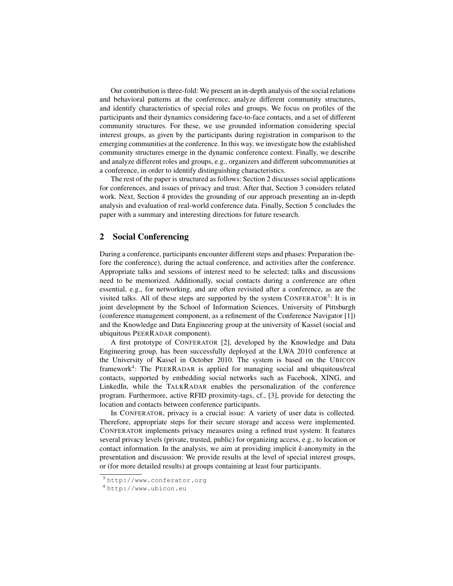Our contribution is three-fold: We present an in-depth analysis of the social relations and behavioral patterns at the conference, analyze different community structures, and identify characteristics of special roles and groups. We focus on profiles of the participants and their dynamics considering face-to-face contacts, and a set of different community structures. For these, we use grounded information considering special interest groups, as given by the participants during registration in comparison to the emerging communities at the conference. In this way, we investigate how the established community structures emerge in the dynamic conference context. Finally, we describe and analyze different roles and groups, e.g., organizers and different subcommunities at a conference, in order to identify distinguishing characteristics.

The rest of the paper is structured as follows: Section 2 discusses social applications for conferences, and issues of privacy and trust. After that, Section 3 considers related work. Next, Section 4 provides the grounding of our approach presenting an in-depth analysis and evaluation of real-world conference data. Finally, Section 5 concludes the paper with a summary and interesting directions for future research.

# 2 Social Conferencing

During a conference, participants encounter different steps and phases: Preparation (before the conference), during the actual conference, and activities after the conference. Appropriate talks and sessions of interest need to be selected; talks and discussions need to be memorized. Additionally, social contacts during a conference are often essential, e.g., for networking, and are often revisited after a conference, as are the visited talks. All of these steps are supported by the system CONFERATOR<sup>3</sup>: It is in joint development by the School of Information Sciences, University of Pittsburgh (conference management component, as a refinement of the Conference Navigator [1]) and the Knowledge and Data Engineering group at the university of Kassel (social and ubiquitous PEERRADAR component).

A first prototype of CONFERATOR [2], developed by the Knowledge and Data Engineering group, has been successfully deployed at the LWA 2010 conference at the University of Kassel in October 2010. The system is based on the UBICON framework<sup>4</sup>: The PEERRADAR is applied for managing social and ubiquitous/real contacts, supported by embedding social networks such as Facebook, XING, and LinkedIn, while the TALKRADAR enables the personalization of the conference program. Furthermore, active RFID proximity-tags, cf., [3], provide for detecting the location and contacts between conference participants.

In CONFERATOR, privacy is a crucial issue: A variety of user data is collected. Therefore, appropriate steps for their secure storage and access were implemented. CONFERATOR implements privacy measures using a refined trust system: It features several privacy levels (private, trusted, public) for organizing access, e.g., to location or contact information. In the analysis, we aim at providing implicit *k*-anonymity in the presentation and discussion: We provide results at the level of special interest groups, or (for more detailed results) at groups containing at least four participants.

<sup>3</sup> http://www.conferator.org

<sup>4</sup> http://www.ubicon.eu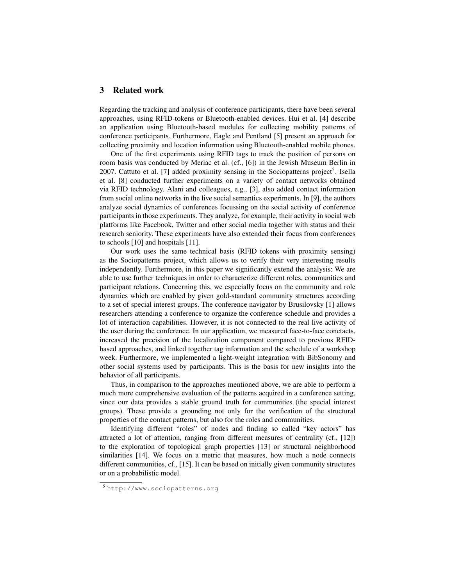## 3 Related work

Regarding the tracking and analysis of conference participants, there have been several approaches, using RFID-tokens or Bluetooth-enabled devices. Hui et al. [4] describe an application using Bluetooth-based modules for collecting mobility patterns of conference participants. Furthermore, Eagle and Pentland [5] present an approach for collecting proximity and location information using Bluetooth-enabled mobile phones.

One of the first experiments using RFID tags to track the position of persons on room basis was conducted by Meriac et al. (cf., [6]) in the Jewish Museum Berlin in 2007. Cattuto et al. [7] added proximity sensing in the Sociopatterns project<sup>5</sup>. Isella et al. [8] conducted further experiments on a variety of contact networks obtained via RFID technology. Alani and colleagues, e.g., [3], also added contact information from social online networks in the live social semantics experiments. In [9], the authors analyze social dynamics of conferences focussing on the social activity of conference participants in those experiments. They analyze, for example, their activity in social web platforms like Facebook, Twitter and other social media together with status and their research seniority. These experiments have also extended their focus from conferences to schools [10] and hospitals [11].

Our work uses the same technical basis (RFID tokens with proximity sensing) as the Sociopatterns project, which allows us to verify their very interesting results independently. Furthermore, in this paper we significantly extend the analysis: We are able to use further techniques in order to characterize different roles, communities and participant relations. Concerning this, we especially focus on the community and role dynamics which are enabled by given gold-standard community structures according to a set of special interest groups. The conference navigator by Brusilovsky [1] allows researchers attending a conference to organize the conference schedule and provides a lot of interaction capabilities. However, it is not connected to the real live activity of the user during the conference. In our application, we measured face-to-face conctacts, increased the precision of the localization component compared to previous RFIDbased approaches, and linked together tag information and the schedule of a workshop week. Furthermore, we implemented a light-weight integration with BibSonomy and other social systems used by participants. This is the basis for new insights into the behavior of all participants.

Thus, in comparison to the approaches mentioned above, we are able to perform a much more comprehensive evaluation of the patterns acquired in a conference setting, since our data provides a stable ground truth for communities (the special interest groups). These provide a grounding not only for the verification of the structural properties of the contact patterns, but also for the roles and communities.

Identifying different "roles" of nodes and finding so called "key actors" has attracted a lot of attention, ranging from different measures of centrality (cf., [12]) to the exploration of topological graph properties [13] or structural neighborhood similarities [14]. We focus on a metric that measures, how much a node connects different communities, cf., [15]. It can be based on initially given community structures or on a probabilistic model.

<sup>5</sup> http://www.sociopatterns.org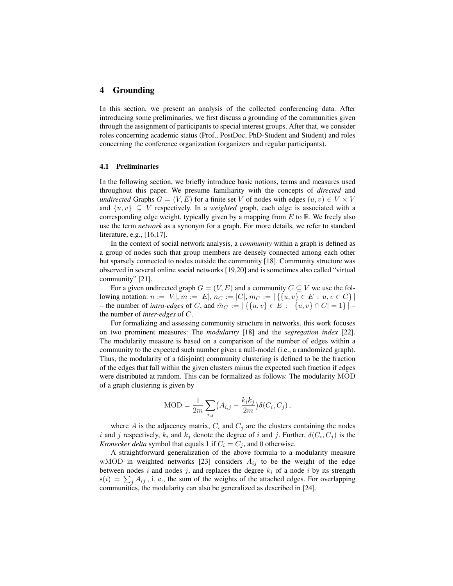# 4 Grounding

In this section, we present an analysis of the collected conferencing data. After introducing some preliminaries, we first discuss a grounding of the communities given through the assignment of participants to special interest groups. After that, we consider roles concerning academic status (Prof., PostDoc, PhD-Student and Student) and roles concerning the conference organization (organizers and regular participants).

#### 4.1 Preliminaries

In the following section, we briefly introduce basic notions, terms and measures used throughout this paper. We presume familiarity with the concepts of *directed* and *undirected* Graphs  $G = (V, E)$  for a finite set V of nodes with edges  $(u, v) \in V \times V$ and  $\{u, v\} \subseteq V$  respectively. In a *weighted* graph, each edge is associated with a corresponding edge weight, typically given by a mapping from  $E$  to  $\mathbb R$ . We freely also use the term *network* as a synonym for a graph. For more details, we refer to standard literature, e.g., [16,17].

In the context of social network analysis, a *community* within a graph is defined as a group of nodes such that group members are densely connected among each other but sparsely connected to nodes outside the community [18]. Community structure was observed in several online social networks [19,20] and is sometimes also called "virtual community" [21].

For a given undirected graph  $G = (V, E)$  and a community  $C \subseteq V$  we use the following notation:  $n := |V|, m := |E|, n_C := |C|, m_C := |\{ \{u, v\} \in E : u, v \in C \}|$ – the number of *intra-edges* of C, and  $\overline{m}_C := |\{ \{u, v\} \in E : |\{u, v\} \cap C| = 1 \}|$  – the number of *inter-edges* of C.

For formalizing and assessing community structure in networks, this work focuses on two prominent measures: The *modularity* [18] and the *segregation index* [22]. The modularity measure is based on a comparison of the number of edges within a community to the expected such number given a null-model (i.e., a randomized graph). Thus, the modularity of a (disjoint) community clustering is defined to be the fraction of the edges that fall within the given clusters minus the expected such fraction if edges were distributed at random. This can be formalized as follows: The modularity MOD of a graph clustering is given by

$$
MOD = \frac{1}{2m} \sum_{i,j} (A_{i,j} - \frac{k_i k_j}{2m}) \delta(C_i, C_j),
$$

where A is the adjacency matrix,  $C_i$  and  $C_j$  are the clusters containing the nodes i and j respectively,  $k_i$  and  $k_j$  denote the degree of i and j. Further,  $\delta(C_i, C_j)$  is the *Kronecker delta* symbol that equals 1 if  $C_i = C_j$ , and 0 otherwise.

A straightforward generalization of the above formula to a modularity measure wMOD in weighted networks [23] considers  $A_{ij}$  to be the weight of the edge between nodes i and nodes j, and replaces the degree  $k_i$  of a node i by its strength  $s(i) = \sum_j A_{ij}$ , i. e., the sum of the weights of the attached edges. For overlapping communities, the modularity can also be generalized as described in [24].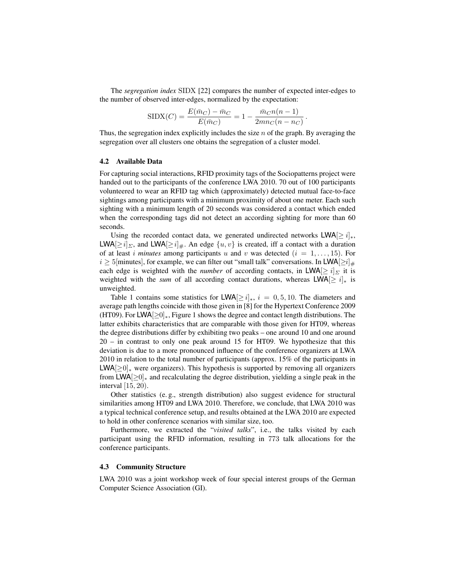The *segregation index* SIDX [22] compares the number of expected inter-edges to the number of observed inter-edges, normalized by the expectation:

$$
SIDX(C) = \frac{E(\bar{m}_C) - \bar{m}_C}{E(\bar{m}_C)} = 1 - \frac{\bar{m}_C n(n-1)}{2m n_C(n - n_C)}
$$

.

Thus, the segregation index explicitly includes the size  $n$  of the graph. By averaging the segregation over all clusters one obtains the segregation of a cluster model.

#### 4.2 Available Data

For capturing social interactions, RFID proximity tags of the Sociopatterns project were handed out to the participants of the conference LWA 2010. 70 out of 100 participants volunteered to wear an RFID tag which (approximately) detected mutual face-to-face sightings among participants with a minimum proximity of about one meter. Each such sighting with a minimum length of 20 seconds was considered a contact which ended when the corresponding tags did not detect an according sighting for more than 60 seconds.

Using the recorded contact data, we generated undirected networks  $LWA[\geq i]_{*}$ , LWA $[\geq i]_{\Sigma}$ , and LWA $[\geq i]_{\#}$ . An edge  $\{u, v\}$  is created, iff a contact with a duration of at least *i minutes* among participants u and v was detected  $(i = 1, \ldots, 15)$ . For  $i \geq 5$ [minutes], for example, we can filter out "small talk" conversations. In LWA $[z]_{\#}$ each edge is weighted with the *number* of according contacts, in  $LWA[\geq i]_{\Sigma}$  it is weighted with the *sum* of all according contact durations, whereas LWA $[\geq i]_*$  is unweighted.

Table 1 contains some statistics for LWA[ $\ge i|_*, i = 0, 5, 10$ . The diameters and average path lengths coincide with those given in [8] for the Hypertext Conference 2009 (HT09). For LWA[≥0]∗, Figure 1 shows the degree and contact length distributions. The latter exhibits characteristics that are comparable with those given for HT09, whereas the degree distributions differ by exhibiting two peaks – one around 10 and one around 20 – in contrast to only one peak around 15 for HT09. We hypothesize that this deviation is due to a more pronounced influence of the conference organizers at LWA 2010 in relation to the total number of participants (approx. 15% of the participants in LWA[≥0]<sup>∗</sup> were organizers). This hypothesis is supported by removing all organizers from LWA[≥0]<sup>∗</sup> and recalculating the degree distribution, yielding a single peak in the interval [15, 20).

Other statistics (e. g., strength distribution) also suggest evidence for structural similarities among HT09 and LWA 2010. Therefore, we conclude, that LWA 2010 was a typical technical conference setup, and results obtained at the LWA 2010 are expected to hold in other conference scenarios with similar size, too.

Furthermore, we extracted the "*visited talks*", i.e., the talks visited by each participant using the RFID information, resulting in 773 talk allocations for the conference participants.

#### 4.3 Community Structure

LWA 2010 was a joint workshop week of four special interest groups of the German Computer Science Association (GI).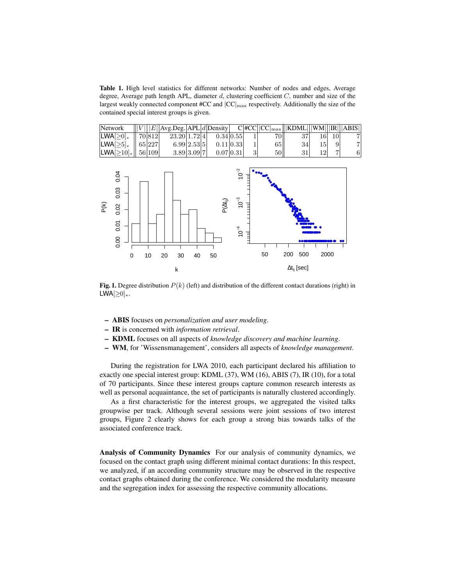Table 1. High level statistics for different networks: Number of nodes and edges, Average degree, Average path length APL, diameter  $d$ , clustering coefficient  $C$ , number and size of the largest weakly connected component #CC and  $|CC|_{\text{max}}$  respectively. Additionally the size of the contained special interest groups is given.

| Network                    |                    | $   V   E  $ Avg. Deg. $ APL d $ Density |             |           |   |      | $C $ #CC $  CC _{max}   KDML   WM   IR   ABIS  $ |    |    |   |
|----------------------------|--------------------|------------------------------------------|-------------|-----------|---|------|--------------------------------------------------|----|----|---|
| $ LWA \geq 0 _*$           | 70 812             | 23.20 1.72 4                             |             | 0.34 0.55 |   | 70II |                                                  | 16 | 10 |   |
| $ LWA[\geq5]_{*} $         | $\parallel$ 65 227 |                                          | 6.99 2.53 5 | 0.11 0.33 |   | 65II | 34                                               | 15 | 9  |   |
| $ LWA[\geq10]_{*} $ 56 109 |                    |                                          | 3.89 3.09 7 | 0.07 0.31 | 3 | 50 I |                                                  | 12 |    | 6 |



Fig. 1. Degree distribution  $P(k)$  (left) and distribution of the different contact durations (right) in LWA[≥0]∗.

- ABIS focuses on *personalization and user modeling*.
- IR is concerned with *information retrieval*.
- KDML focuses on all aspects of *knowledge discovery and machine learning*.
- WM, for 'Wissensmanagement', considers all aspects of *knowledge management*.

During the registration for LWA 2010, each participant declared his affiliation to exactly one special interest group: KDML (37), WM (16), ABIS (7), IR (10), for a total of 70 participants. Since these interest groups capture common research interests as well as personal acquaintance, the set of participants is naturally clustered accordingly.

As a first characteristic for the interest groups, we aggregated the visited talks groupwise per track. Although several sessions were joint sessions of two interest groups, Figure 2 clearly shows for each group a strong bias towards talks of the associated conference track.

Analysis of Community Dynamics For our analysis of community dynamics, we focused on the contact graph using different minimal contact durations: In this respect, we analyzed, if an according community structure may be observed in the respective contact graphs obtained during the conference. We considered the modularity measure and the segregation index for assessing the respective community allocations.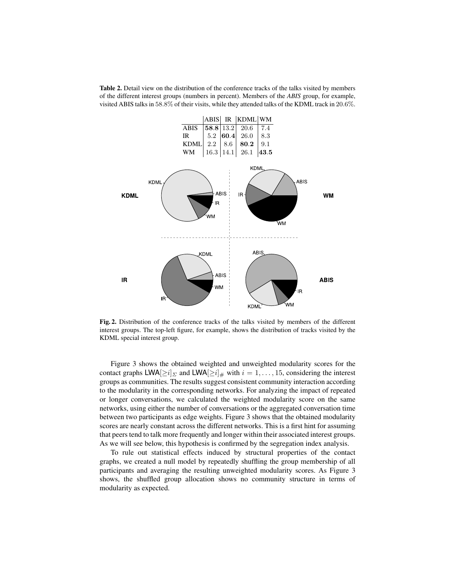Table 2. Detail view on the distribution of the conference tracks of the talks visited by members of the different interest groups (numbers in percent). Members of the *ABIS* group, for example, visited ABIS talks in 58.8% of their visits, while they attended talks of the KDML track in 20.6%.



Fig. 2. Distribution of the conference tracks of the talks visited by members of the different interest groups. The top-left figure, for example, shows the distribution of tracks visited by the KDML special interest group.

Figure 3 shows the obtained weighted and unweighted modularity scores for the contact graphs  $LWA[\geq i]_E$  and  $LWA[\geq i]_H$  with  $i = 1, \ldots, 15$ , considering the interest groups as communities. The results suggest consistent community interaction according to the modularity in the corresponding networks. For analyzing the impact of repeated or longer conversations, we calculated the weighted modularity score on the same networks, using either the number of conversations or the aggregated conversation time between two participants as edge weights. Figure 3 shows that the obtained modularity scores are nearly constant across the different networks. This is a first hint for assuming that peers tend to talk more frequently and longer within their associated interest groups. As we will see below, this hypothesis is confirmed by the segregation index analysis.

To rule out statistical effects induced by structural properties of the contact graphs, we created a null model by repeatedly shuffling the group membership of all participants and averaging the resulting unweighted modularity scores. As Figure 3 shows, the shuffled group allocation shows no community structure in terms of modularity as expected.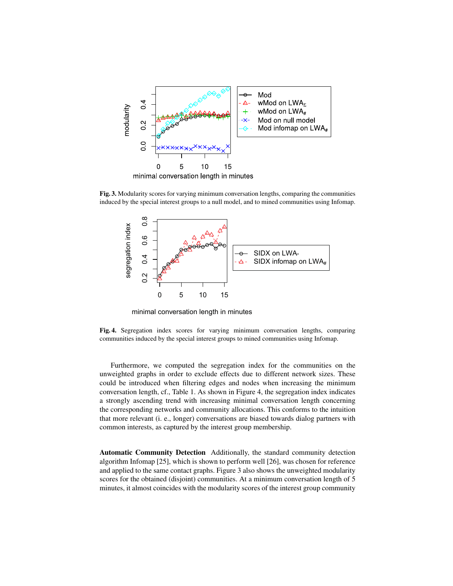

Fig. 3. Modularity scores for varying minimum conversation lengths, comparing the communities induced by the special interest groups to a null model, and to mined communities using Infomap.



minimal conversation length in minutes

Fig. 4. Segregation index scores for varying minimum conversation lengths, comparing communities induced by the special interest groups to mined communities using Infomap.

Furthermore, we computed the segregation index for the communities on the unweighted graphs in order to exclude effects due to different network sizes. These could be introduced when filtering edges and nodes when increasing the minimum conversation length, cf., Table 1. As shown in Figure 4, the segregation index indicates a strongly ascending trend with increasing minimal conversation length concerning the corresponding networks and community allocations. This conforms to the intuition that more relevant (i. e., longer) conversations are biased towards dialog partners with common interests, as captured by the interest group membership.

Automatic Community Detection Additionally, the standard community detection algorithm Infomap [25], which is shown to perform well [26], was chosen for reference and applied to the same contact graphs. Figure 3 also shows the unweighted modularity scores for the obtained (disjoint) communities. At a minimum conversation length of 5 minutes, it almost coincides with the modularity scores of the interest group community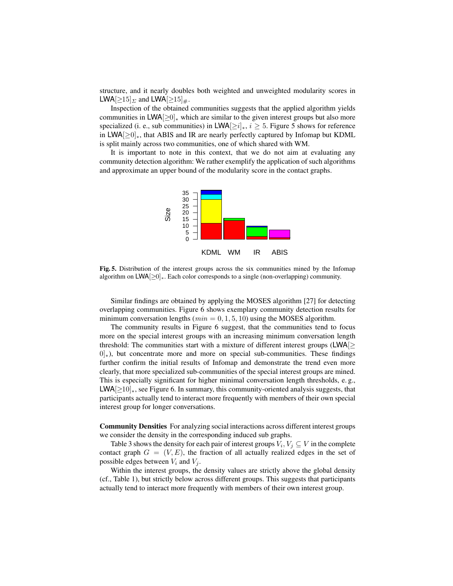structure, and it nearly doubles both weighted and unweighted modularity scores in LWA $[\geq 15]_{\Sigma}$  and LWA $[\geq 15]_{\#}$ .

Inspection of the obtained communities suggests that the applied algorithm yields communities in LWA[≥0]<sup>∗</sup> which are similar to the given interest groups but also more specialized (i. e., sub communities) in LWA $[\geq i]_*, i \geq 5$ . Figure 5 shows for reference in LWA[≥0]∗, that ABIS and IR are nearly perfectly captured by Infomap but KDML is split mainly across two communities, one of which shared with WM.

It is important to note in this context, that we do not aim at evaluating any community detection algorithm: We rather exemplify the application of such algorithms and approximate an upper bound of the modularity score in the contact graphs.



Fig. 5. Distribution of the interest groups across the six communities mined by the Infomap algorithm on LWA[≥0]∗. Each color corresponds to a single (non-overlapping) community.

Similar findings are obtained by applying the MOSES algorithm [27] for detecting overlapping communities. Figure 6 shows exemplary community detection results for minimum conversation lengths ( $min = 0, 1, 5, 10$ ) using the MOSES algorithm.

The community results in Figure 6 suggest, that the communities tend to focus more on the special interest groups with an increasing minimum conversation length threshold: The communities start with a mixture of different interest groups  $(LWA[\geq$ 0]∗), but concentrate more and more on special sub-communities. These findings further confirm the initial results of Infomap and demonstrate the trend even more clearly, that more specialized sub-communities of the special interest groups are mined. This is especially significant for higher minimal conversation length thresholds, e. g., LWA[≥10]∗, see Figure 6. In summary, this community-oriented analysis suggests, that participants actually tend to interact more frequently with members of their own special interest group for longer conversations.

Community Densities For analyzing social interactions across different interest groups we consider the density in the corresponding induced sub graphs.

Table 3 shows the density for each pair of interest groups  $V_i, V_j \subseteq V$  in the complete contact graph  $G = (V, E)$ , the fraction of all actually realized edges in the set of possible edges between  $V_i$  and  $V_j$ .

Within the interest groups, the density values are strictly above the global density (cf., Table 1), but strictly below across different groups. This suggests that participants actually tend to interact more frequently with members of their own interest group.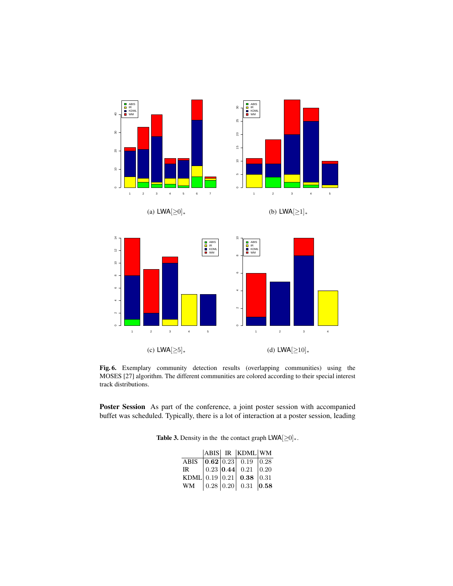

(c) LWA[≥5]<sup>∗</sup> (d) LWA $[≥10]$ \*

1 2 3 4 5

Fig. 6. Exemplary community detection results (overlapping communities) using the MOSES [27] algorithm. The different communities are colored according to their special interest track distributions.

1 2 3 4

Poster Session As part of the conference, a joint poster session with accompanied buffet was scheduled. Typically, there is a lot of interaction at a poster session, leading

Table 3. Density in the the contact graph LWA[ $\geq$ 0]<sub>∗</sub>.

|             |  | ABIS IR KDML WM                               |  |
|-------------|--|-----------------------------------------------|--|
| <b>ABIS</b> |  | $\vert 0.62 \vert 0.23 \vert 0.19 \vert 0.28$ |  |
| IR          |  | $\vert 0.23 \vert 0.44 \vert 0.21 \vert 0.20$ |  |
|             |  | KDML 0.19 0.21 0.38 0.31                      |  |
| WM          |  | $\vert 0.28 \vert 0.20 \vert 0.31 \vert 0.58$ |  |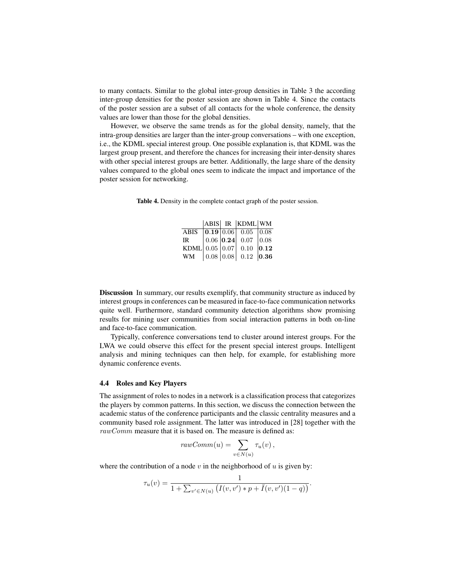to many contacts. Similar to the global inter-group densities in Table 3 the according inter-group densities for the poster session are shown in Table 4. Since the contacts of the poster session are a subset of all contacts for the whole conference, the density values are lower than those for the global densities.

However, we observe the same trends as for the global density, namely, that the intra-group densities are larger than the inter-group conversations – with one exception, i.e., the KDML special interest group. One possible explanation is, that KDML was the largest group present, and therefore the chances for increasing their inter-density shares with other special interest groups are better. Additionally, the large share of the density values compared to the global ones seem to indicate the impact and importance of the poster session for networking.

Table 4. Density in the complete contact graph of the poster session.

|                |                               | ABIS IR KDML WM               |  |
|----------------|-------------------------------|-------------------------------|--|
| <b>ABIS</b>    |                               | $\boxed{0.19}$ 0.06 0.05 0.08 |  |
| IR             | $\vert 0.06 \vert 0.24 \vert$ | $0.07$ 0.08                   |  |
| KDML 0.05 0.07 |                               | $0.10$ 0.12                   |  |
| WM             | 0.08 0.08                     | $0.12 \,   \, 0.36$           |  |

Discussion In summary, our results exemplify, that community structure as induced by interest groups in conferences can be measured in face-to-face communication networks quite well. Furthermore, standard community detection algorithms show promising results for mining user communities from social interaction patterns in both on-line and face-to-face communication.

Typically, conference conversations tend to cluster around interest groups. For the LWA we could observe this effect for the present special interest groups. Intelligent analysis and mining techniques can then help, for example, for establishing more dynamic conference events.

#### 4.4 Roles and Key Players

The assignment of roles to nodes in a network is a classification process that categorizes the players by common patterns. In this section, we discuss the connection between the academic status of the conference participants and the classic centrality measures and a community based role assignment. The latter was introduced in [28] together with the rawComm measure that it is based on. The measure is defined as:

$$
rawComm(u) = \sum_{v \in N(u)} \tau_u(v),
$$

where the contribution of a node  $v$  in the neighborhood of  $u$  is given by:

$$
\tau_u(v) = \frac{1}{1 + \sum_{v' \in N(u)} \left( I(v, v') * p + \overline{I}(v, v')(1 - q) \right)}.
$$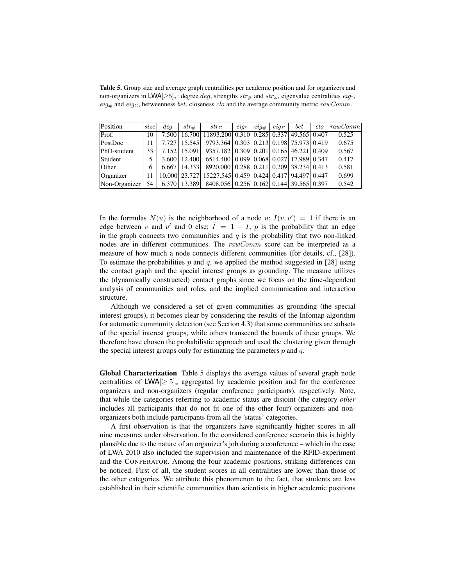Table 5. Group size and average graph centralities per academic position and for organizers and non-organizers in LWA[ $\geq 5]_*$ : degree  $deg$ , strengths  $str_{\#}$  and  $str_{\Sigma}$ , eigenvalue centralities  $eig_*$ ,  $eig<sub>\#</sub>$  and  $eig<sub>\Sigma</sub>$ , betweenness *bet*, closeness *clo* and the average community metric rawComm.

| Position      | size | deq | $str_{\pm}$      | $str_{\Sigma}$                                                      | $eig*$ | $eiq_{\#}$ | $eig_{\Sigma}$ | bet | clo | rawComm |
|---------------|------|-----|------------------|---------------------------------------------------------------------|--------|------------|----------------|-----|-----|---------|
| Prof.         | 10   |     |                  | 7.500   16.700   11893.200   0.310   0.285   0.337   49.565   0.407 |        |            |                |     |     | 0.525   |
| PostDoc       | 11   |     | 7.727   15.545   | 9793.364   0.303   0.213   0.198   75.973   0.419                   |        |            |                |     |     | 0.675   |
| PhD-student   | 33   |     | 7.152   15.091   | 9357.182   0.309   0.201   0.165   46.221   0.409                   |        |            |                |     |     | 0.567   |
| Student       |      |     | 3.600   12.400   | 6514.400 0.099 0.068 0.027 17.989 0.347                             |        |            |                |     |     | 0.417   |
| Other         | 6    |     | $6.667$   14.333 | 8920.000   0.288   0.211   0.209   38.234   0.413                   |        |            |                |     |     | 0.581   |
| Organizer     | -11  |     |                  | 10.000 23.727 15227.545 0.459 0.424 0.417 94.497 0.447              |        |            |                |     |     | 0.699   |
| Non-Organizer | 54   |     |                  | 6.370   13.389   8408.056   0.256   0.162   0.144   39.565   0.397  |        |            |                |     |     | 0.542   |

In the formulas  $N(u)$  is the neighborhood of a node u;  $I(v, v') = 1$  if there is an edge between v and v' and 0 else;  $\overline{I} = 1 - I$ , p is the probability that an edge in the graph connects two communities and  $q$  is the probability that two non-linked nodes are in different communities. The rawComm score can be interpreted as a measure of how much a node connects different communities (for details, cf., [28]). To estimate the probabilities  $p$  and  $q$ , we applied the method suggested in [28] using the contact graph and the special interest groups as grounding. The measure utilizes the (dynamically constructed) contact graphs since we focus on the time-dependent analysis of communities and roles, and the implied communication and interaction structure.

Although we considered a set of given communities as grounding (the special interest groups), it becomes clear by considering the results of the Infomap algorithm for automatic community detection (see Section 4.3) that some communities are subsets of the special interest groups, while others transcend the bounds of these groups. We therefore have chosen the probabilistic approach and used the clustering given through the special interest groups only for estimating the parameters  $p$  and  $q$ .

Global Characterization Table 5 displays the average values of several graph node centralities of LWA[≥ 5]<sup>∗</sup> aggregated by academic position and for the conference organizers and non-organizers (regular conference participants), respectively. Note, that while the categories referring to academic status are disjoint (the category *other* includes all participants that do not fit one of the other four) organizers and nonorganizers both include participants from all the 'status' categories.

A first observation is that the organizers have significantly higher scores in all nine measures under observation. In the considered conference scenario this is highly plausible due to the nature of an organizer's job during a conference – which in the case of LWA 2010 also included the supervision and maintenance of the RFID-experiment and the CONFERATOR. Among the four academic positions, striking differences can be noticed. First of all, the student scores in all centralities are lower than those of the other categories. We attribute this phenomenon to the fact, that students are less established in their scientific communities than scientists in higher academic positions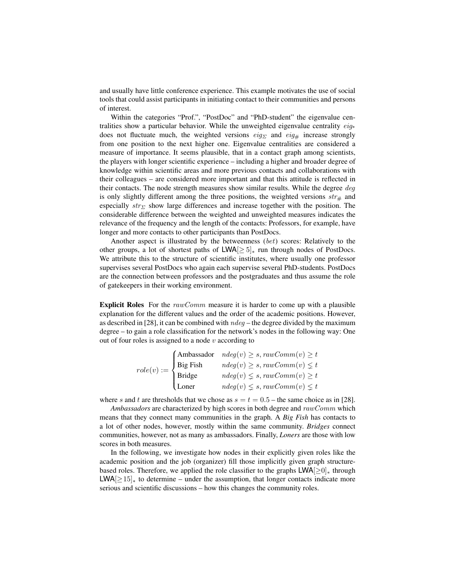and usually have little conference experience. This example motivates the use of social tools that could assist participants in initiating contact to their communities and persons of interest.

Within the categories "Prof.", "PostDoc" and "PhD-student" the eigenvalue centralities show a particular behavior. While the unweighted eigenvalue centrality  $eig*$ does not fluctuate much, the weighted versions  $eig_{\Sigma}$  and  $eig_{\mu}$  increase strongly from one position to the next higher one. Eigenvalue centralities are considered a measure of importance. It seems plausible, that in a contact graph among scientists, the players with longer scientific experience – including a higher and broader degree of knowledge within scientific areas and more previous contacts and collaborations with their colleagues – are considered more important and that this attitude is reflected in their contacts. The node strength measures show similar results. While the degree deg is only slightly different among the three positions, the weighted versions  $str_{#}$  and especially  $str_{\Sigma}$  show large differences and increase together with the position. The considerable difference between the weighted and unweighted measures indicates the relevance of the frequency and the length of the contacts: Professors, for example, have longer and more contacts to other participants than PostDocs.

Another aspect is illustrated by the betweenness (bet) scores: Relatively to the other groups, a lot of shortest paths of  $LWA[\geq 5]_{*}$  run through nodes of PostDocs. We attribute this to the structure of scientific institutes, where usually one professor supervises several PostDocs who again each supervise several PhD-students. PostDocs are the connection between professors and the postgraduates and thus assume the role of gatekeepers in their working environment.

Explicit Roles For the rawComm measure it is harder to come up with a plausible explanation for the different values and the order of the academic positions. However, as described in [28], it can be combined with  $n \text{deg}-\text{the degree divided by the maximum}$ degree – to gain a role classification for the network's nodes in the following way: One out of four roles is assigned to a node  $v$  according to

$$
role(v) := \begin{cases} \text{Ambassador} & ndeg(v) \ge s, rawComm(v) \ge t \\ \text{Big Fish} & ndeg(v) \ge s, rawComm(v) \le t \\ \text{Bridge} & ndeg(v) \le s, rawComm(v) \ge t \\ \text{Loner} & ndeg(v) \le s, rawComm(v) \le t \end{cases}
$$

where s and t are thresholds that we chose as  $s = t = 0.5$  – the same choice as in [28].

*Ambassadors* are characterized by high scores in both degree and rawComm which means that they connect many communities in the graph. A *Big Fish* has contacts to a lot of other nodes, however, mostly within the same community. *Bridges* connect communities, however, not as many as ambassadors. Finally, *Loners* are those with low scores in both measures.

In the following, we investigate how nodes in their explicitly given roles like the academic position and the job (organizer) fill those implicitly given graph structurebased roles. Therefore, we applied the role classifier to the graphs  $LWA$ [>0]<sub>∗</sub> through  $LWA[\geq15]_{*}$  to determine – under the assumption, that longer contacts indicate more serious and scientific discussions – how this changes the community roles.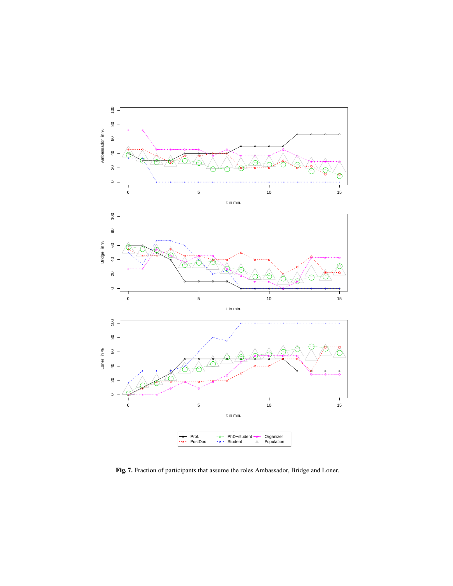

Fig. 7. Fraction of participants that assume the roles Ambassador, Bridge and Loner.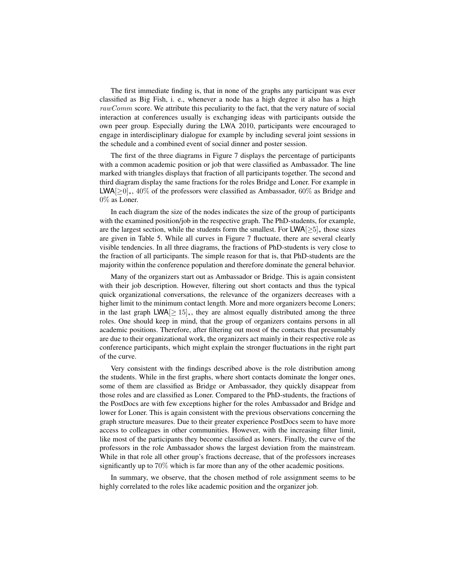The first immediate finding is, that in none of the graphs any participant was ever classified as Big Fish, i. e., whenever a node has a high degree it also has a high rawComm score. We attribute this peculiarity to the fact, that the very nature of social interaction at conferences usually is exchanging ideas with participants outside the own peer group. Especially during the LWA 2010, participants were encouraged to engage in interdisciplinary dialogue for example by including several joint sessions in the schedule and a combined event of social dinner and poster session.

The first of the three diagrams in Figure 7 displays the percentage of participants with a common academic position or job that were classified as Ambassador. The line marked with triangles displays that fraction of all participants together. The second and third diagram display the same fractions for the roles Bridge and Loner. For example in LWA[≥0]∗, 40% of the professors were classified as Ambassador, 60% as Bridge and 0% as Loner.

In each diagram the size of the nodes indicates the size of the group of participants with the examined position/job in the respective graph. The PhD-students, for example, are the largest section, while the students form the smallest. For  $LWA$ [>5]<sub>∗</sub> those sizes are given in Table 5. While all curves in Figure 7 fluctuate, there are several clearly visible tendencies. In all three diagrams, the fractions of PhD-students is very close to the fraction of all participants. The simple reason for that is, that PhD-students are the majority within the conference population and therefore dominate the general behavior.

Many of the organizers start out as Ambassador or Bridge. This is again consistent with their job description. However, filtering out short contacts and thus the typical quick organizational conversations, the relevance of the organizers decreases with a higher limit to the minimum contact length. More and more organizers become Loners; in the last graph  $LWA$ [ $\geq 15$ ]<sub>\*</sub>, they are almost equally distributed among the three roles. One should keep in mind, that the group of organizers contains persons in all academic positions. Therefore, after filtering out most of the contacts that presumably are due to their organizational work, the organizers act mainly in their respective role as conference participants, which might explain the stronger fluctuations in the right part of the curve.

Very consistent with the findings described above is the role distribution among the students. While in the first graphs, where short contacts dominate the longer ones, some of them are classified as Bridge or Ambassador, they quickly disappear from those roles and are classified as Loner. Compared to the PhD-students, the fractions of the PostDocs are with few exceptions higher for the roles Ambassador and Bridge and lower for Loner. This is again consistent with the previous observations concerning the graph structure measures. Due to their greater experience PostDocs seem to have more access to colleagues in other communities. However, with the increasing filter limit, like most of the participants they become classified as loners. Finally, the curve of the professors in the role Ambassador shows the largest deviation from the mainstream. While in that role all other group's fractions decrease, that of the professors increases significantly up to 70% which is far more than any of the other academic positions.

In summary, we observe, that the chosen method of role assignment seems to be highly correlated to the roles like academic position and the organizer job.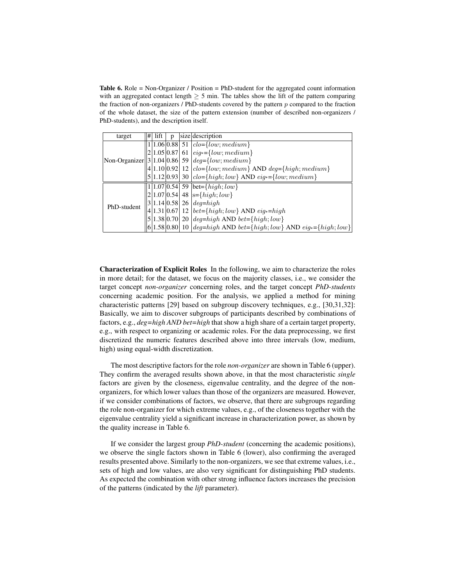Table 6. Role = Non-Organizer / Position = PhD-student for the aggregated count information with an aggregated contact length  $\geq$  5 min. The tables show the lift of the pattern comparing the fraction of non-organizers  $/$  PhD-students covered by the pattern  $p$  compared to the fraction of the whole dataset, the size of the pattern extension (number of described non-organizers / PhD-students), and the description itself.

| target      | 1#1 | lift | p | size description                                                           |
|-------------|-----|------|---|----------------------------------------------------------------------------|
|             |     |      |   | $1 1.06 0.88 51 clo={low;medium}$                                          |
|             |     |      |   | $ 2 1.05 0.87 $ 61 $ eig*=\{low; medium\}$                                 |
|             |     |      |   | Non-Organizer  3 1.04 0.86  59   $deg = \{low; medium\}$                   |
|             |     |      |   | $ 4 1.10 0.92 12 clo={low;medium}$ AND $deg={high;medium}$                 |
|             |     |      |   | $ 5 1.12 0.93 $ 30 $ clo={high;low}$ AND $eig_{*}={low;medium}$            |
|             |     |      |   | $ 1 1.07 0.54 $ 59 $ bet={high; low}$                                      |
|             |     |      |   | $ 2 1.07 0.54 $ 48 $ s=\{high; low\}$                                      |
|             |     |      |   | $ 3 1.14 0.58 26 deg=high$                                                 |
| PhD-student |     |      |   | $ 4 1.31 0.67 12$   $bet = {high; low}$ AND $eig * = high$                 |
|             |     |      |   | $ 5 1.38 0.70 $ 20 $ deg=high$ AND $bet={high;low}$                        |
|             |     |      |   | $ 6 1.58 0.80 $ 10 $ deg=high$ AND $bet={high;low}$ AND $eig*={high;low} $ |

Characterization of Explicit Roles In the following, we aim to characterize the roles in more detail; for the dataset, we focus on the majority classes, i.e., we consider the target concept *non-organizer* concerning roles, and the target concept *PhD-students* concerning academic position. For the analysis, we applied a method for mining characteristic patterns [29] based on subgroup discovery techniques, e.g., [30,31,32]: Basically, we aim to discover subgroups of participants described by combinations of factors, e.g., *deg=high AND bet=high* that show a high share of a certain target property, e.g., with respect to organizing or academic roles. For the data preprocessing, we first discretized the numeric features described above into three intervals (low, medium, high) using equal-width discretization.

The most descriptive factors for the role *non-organizer* are shown in Table 6 (upper). They confirm the averaged results shown above, in that the most characteristic *single* factors are given by the closeness, eigenvalue centrality, and the degree of the nonorganizers, for which lower values than those of the organizers are measured. However, if we consider combinations of factors, we observe, that there are subgroups regarding the role non-organizer for which extreme values, e.g., of the closeness together with the eigenvalue centrality yield a significant increase in characterization power, as shown by the quality increase in Table 6.

If we consider the largest group *PhD-student* (concerning the academic positions), we observe the single factors shown in Table 6 (lower), also confirming the averaged results presented above. Similarly to the non-organizers, we see that extreme values, i.e., sets of high and low values, are also very significant for distinguishing PhD students. As expected the combination with other strong influence factors increases the precision of the patterns (indicated by the *lift* parameter).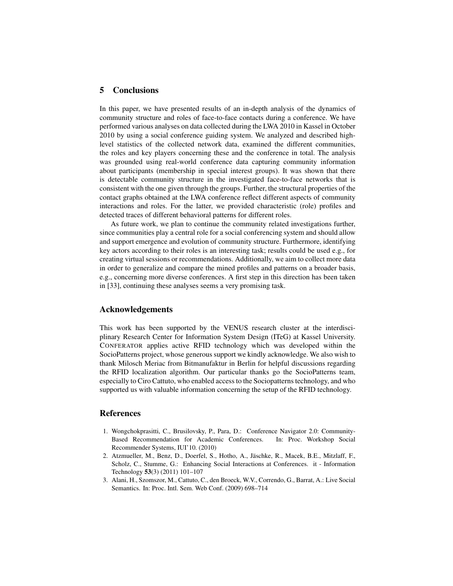## 5 Conclusions

In this paper, we have presented results of an in-depth analysis of the dynamics of community structure and roles of face-to-face contacts during a conference. We have performed various analyses on data collected during the LWA 2010 in Kassel in October 2010 by using a social conference guiding system. We analyzed and described highlevel statistics of the collected network data, examined the different communities, the roles and key players concerning these and the conference in total. The analysis was grounded using real-world conference data capturing community information about participants (membership in special interest groups). It was shown that there is detectable community structure in the investigated face-to-face networks that is consistent with the one given through the groups. Further, the structural properties of the contact graphs obtained at the LWA conference reflect different aspects of community interactions and roles. For the latter, we provided characteristic (role) profiles and detected traces of different behavioral patterns for different roles.

As future work, we plan to continue the community related investigations further, since communities play a central role for a social conferencing system and should allow and support emergence and evolution of community structure. Furthermore, identifying key actors according to their roles is an interesting task; results could be used e.g., for creating virtual sessions or recommendations. Additionally, we aim to collect more data in order to generalize and compare the mined profiles and patterns on a broader basis, e.g., concerning more diverse conferences. A first step in this direction has been taken in [33], continuing these analyses seems a very promising task.

### Acknowledgements

This work has been supported by the VENUS research cluster at the interdisciplinary Research Center for Information System Design (ITeG) at Kassel University. CONFERATOR applies active RFID technology which was developed within the SocioPatterns project, whose generous support we kindly acknowledge. We also wish to thank Milosch Meriac from Bitmanufaktur in Berlin for helpful discussions regarding the RFID localization algorithm. Our particular thanks go the SocioPatterns team, especially to Ciro Cattuto, who enabled access to the Sociopatterns technology, and who supported us with valuable information concerning the setup of the RFID technology.

### References

- 1. Wongchokprasitti, C., Brusilovsky, P., Para, D.: Conference Navigator 2.0: Community-Based Recommendation for Academic Conferences. In: Proc. Workshop Social Recommender Systems, IUI'10. (2010)
- 2. Atzmueller, M., Benz, D., Doerfel, S., Hotho, A., Jäschke, R., Macek, B.E., Mitzlaff, F., Scholz, C., Stumme, G.: Enhancing Social Interactions at Conferences. it - Information Technology 53(3) (2011) 101–107
- 3. Alani, H., Szomszor, M., Cattuto, C., den Broeck, W.V., Correndo, G., Barrat, A.: Live Social Semantics. In: Proc. Intl. Sem. Web Conf. (2009) 698–714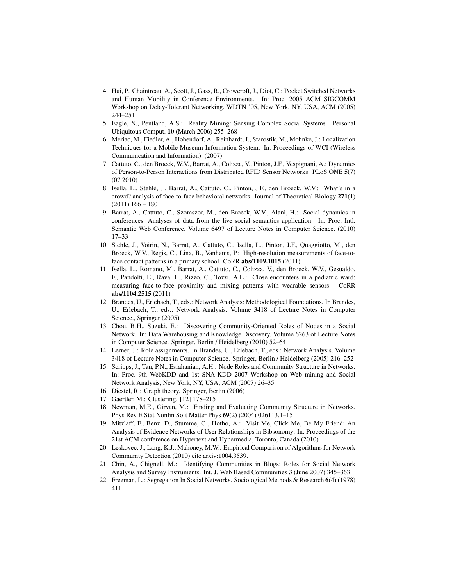- 4. Hui, P., Chaintreau, A., Scott, J., Gass, R., Crowcroft, J., Diot, C.: Pocket Switched Networks and Human Mobility in Conference Environments. In: Proc. 2005 ACM SIGCOMM Workshop on Delay-Tolerant Networking. WDTN '05, New York, NY, USA, ACM (2005) 244–251
- 5. Eagle, N., Pentland, A.S.: Reality Mining: Sensing Complex Social Systems. Personal Ubiquitous Comput. 10 (March 2006) 255–268
- 6. Meriac, M., Fiedler, A., Hohendorf, A., Reinhardt, J., Starostik, M., Mohnke, J.: Localization Techniques for a Mobile Museum Information System. In: Proceedings of WCI (Wireless Communication and Information). (2007)
- 7. Cattuto, C., den Broeck, W.V., Barrat, A., Colizza, V., Pinton, J.F., Vespignani, A.: Dynamics of Person-to-Person Interactions from Distributed RFID Sensor Networks. PLoS ONE 5(7) (07 2010)
- 8. Isella, L., Stehle, J., Barrat, A., Cattuto, C., Pinton, J.F., den Broeck, W.V.: What's in a ´ crowd? analysis of face-to-face behavioral networks. Journal of Theoretical Biology 271(1)  $(2011) 166 - 180$
- 9. Barrat, A., Cattuto, C., Szomszor, M., den Broeck, W.V., Alani, H.: Social dynamics in conferences: Analyses of data from the live social semantics application. In: Proc. Intl. Semantic Web Conference. Volume 6497 of Lecture Notes in Computer Science. (2010) 17–33
- 10. Stehle, J., Voirin, N., Barrat, A., Cattuto, C., Isella, L., Pinton, J.F., Quaggiotto, M., den Broeck, W.V., Regis, C., Lina, B., Vanhems, P.: High-resolution measurements of face-toface contact patterns in a primary school. CoRR abs/1109.1015 (2011)
- 11. Isella, L., Romano, M., Barrat, A., Cattuto, C., Colizza, V., den Broeck, W.V., Gesualdo, F., Pandolfi, E., Rava, L., Rizzo, C., Tozzi, A.E.: Close encounters in a pediatric ward: measuring face-to-face proximity and mixing patterns with wearable sensors. CoRR abs/1104.2515 (2011)
- 12. Brandes, U., Erlebach, T., eds.: Network Analysis: Methodological Foundations. In Brandes, U., Erlebach, T., eds.: Network Analysis. Volume 3418 of Lecture Notes in Computer Science., Springer (2005)
- 13. Chou, B.H., Suzuki, E.: Discovering Community-Oriented Roles of Nodes in a Social Network. In: Data Warehousing and Knowledge Discovery. Volume 6263 of Lecture Notes in Computer Science. Springer, Berlin / Heidelberg (2010) 52–64
- 14. Lerner, J.: Role assignments. In Brandes, U., Erlebach, T., eds.: Network Analysis. Volume 3418 of Lecture Notes in Computer Science. Springer, Berlin / Heidelberg (2005) 216–252
- 15. Scripps, J., Tan, P.N., Esfahanian, A.H.: Node Roles and Community Structure in Networks. In: Proc. 9th WebKDD and 1st SNA-KDD 2007 Workshop on Web mining and Social Network Analysis, New York, NY, USA, ACM (2007) 26–35
- 16. Diestel, R.: Graph theory. Springer, Berlin (2006)
- 17. Gaertler, M.: Clustering. [12] 178–215
- 18. Newman, M.E., Girvan, M.: Finding and Evaluating Community Structure in Networks. Phys Rev E Stat Nonlin Soft Matter Phys 69(2) (2004) 026113.1–15
- 19. Mitzlaff, F., Benz, D., Stumme, G., Hotho, A.: Visit Me, Click Me, Be My Friend: An Analysis of Evidence Networks of User Relationships in Bibsonomy. In: Proceedings of the 21st ACM conference on Hypertext and Hypermedia, Toronto, Canada (2010)
- 20. Leskovec, J., Lang, K.J., Mahoney, M.W.: Empirical Comparison of Algorithms for Network Community Detection (2010) cite arxiv:1004.3539.
- 21. Chin, A., Chignell, M.: Identifying Communities in Blogs: Roles for Social Network Analysis and Survey Instruments. Int. J. Web Based Communities 3 (June 2007) 345–363
- 22. Freeman, L.: Segregation In Social Networks. Sociological Methods & Research 6(4) (1978) 411